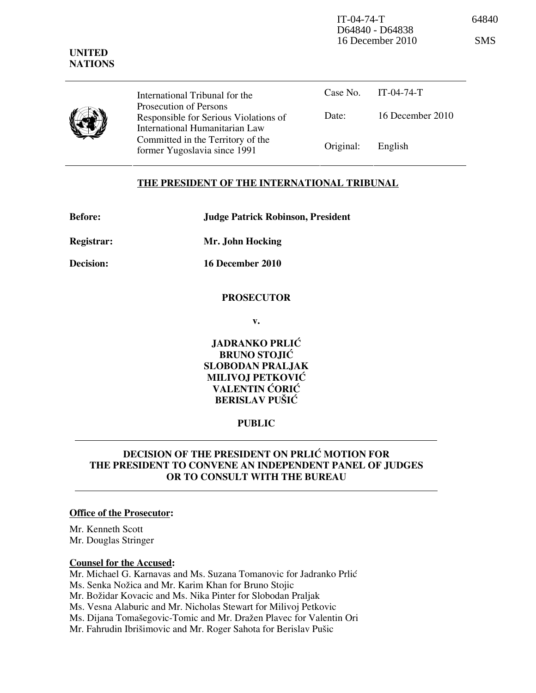IT-04-74-T 64840 D64840 - D64838  $16$  December  $2010$ 

| ۰, |  | ٠ |
|----|--|---|
|    |  |   |

|              | International Tribunal for the                                                                    |           | Case No. $IT-04-74-T$ |
|--------------|---------------------------------------------------------------------------------------------------|-----------|-----------------------|
| $\mathcal Y$ | Prosecution of Persons<br>Responsible for Serious Violations of<br>International Humanitarian Law | Date:     | 16 December $2010$    |
|              | Committed in the Territory of the<br>former Yugoslavia since 1991                                 | Original: | English               |

# THE PRESIDENT OF THE INTERNATIONAL TRIBUNAL

| <b>Before:</b>    | <b>Judge Patrick Robinson, President</b> |  |  |
|-------------------|------------------------------------------|--|--|
| <b>Registrar:</b> | Mr. John Hocking                         |  |  |

Decision: 16 December 2010

## **PROSECUTOR**

v.

JADRANKO PRLIĆ BRUNO STOJIĆ SLOBODAN PRALJAK MILIVOJ PETKOVIĆ VALENTIN ĆORIĆ BERISLAV PUŠIĆ

### PUBLIC

# DECISION OF THE PRESIDENT ON PRLIĆ MOTION FOR THE PRESIDENT TO CONVENE AN INDEPENDENT PANEL OF JUDGES OR TO CONSULT WITH THE BUREAU

#### Office of the Prosecutor:

Mr. Kenneth Scott Mr. Douglas Stringer

#### Counsel for the Accused:

Mr. Michael G. Karnavas and Ms. Suzana Tomanovic for Jadranko Prlić Ms. Senka Nožica and Mr. Karim Khan for Bruno Stojic Mr. Božidar Kovacic and Ms. Nika Pinter for Slobodan Praljak

Ms. Vesna Alaburic and Mr. Nicholas Stewart for Milivoj Petkovic

Ms. Dijana Tomašegovic-Tomic and Mr. Dražen Plavec for Valentin Ori

Mr. Fahrudin Ibrišimovic and Mr. Roger Sahota for Berislav Pušic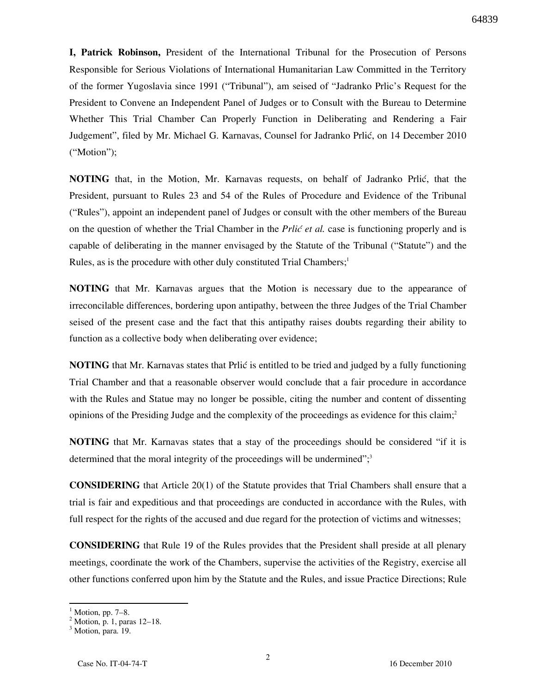I, Patrick Robinson, President of the International Tribunal for the Prosecution of Persons Responsible for Serious Violations of International Humanitarian Law Committed in the Territory of the former Yugoslavia since 1991 ("Tribunal"), am seised of "Jadranko Prlic's Request for the President to Convene an Independent Panel of Judges or to Consult with the Bureau to Determine Whether This Trial Chamber Can Properly Function in Deliberating and Rendering a Fair Judgement", filed by Mr. Michael G. Karnavas, Counsel for Jadranko Prlić, on 14 December 2010 ("Motion");

NOTING that, in the Motion, Mr. Karnavas requests, on behalf of Jadranko Prlić, that the President, pursuant to Rules 23 and 54 of the Rules of Procedure and Evidence of the Tribunal ("Rules"), appoint an independent panel of Judges or consult with the other members of the Bureau on the question of whether the Trial Chamber in the *Prlić et al.* case is functioning properly and is capable of deliberating in the manner envisaged by the Statute of the Tribunal ("Statute") and the Rules, as is the procedure with other duly constituted Trial Chambers;<sup>1</sup>

NOTING that Mr. Karnavas argues that the Motion is necessary due to the appearance of irreconcilable differences, bordering upon antipathy, between the three Judges of the Trial Chamber seised of the present case and the fact that this antipathy raises doubts regarding their ability to function as a collective body when deliberating over evidence;

NOTING that Mr. Karnavas states that Prlić is entitled to be tried and judged by a fully functioning Trial Chamber and that a reasonable observer would conclude that a fair procedure in accordance with the Rules and Statue may no longer be possible, citing the number and content of dissenting opinions of the Presiding Judge and the complexity of the proceedings as evidence for this claim;<sup>2</sup>

NOTING that Mr. Karnavas states that a stay of the proceedings should be considered "if it is determined that the moral integrity of the proceedings will be undermined";<sup>3</sup>

CONSIDERING that Article 20(1) of the Statute provides that Trial Chambers shall ensure that a trial is fair and expeditious and that proceedings are conducted in accordance with the Rules, with full respect for the rights of the accused and due regard for the protection of victims and witnesses;

CONSIDERING that Rule 19 of the Rules provides that the President shall preside at all plenary meetings, coordinate the work of the Chambers, supervise the activities of the Registry, exercise all other functions conferred upon him by the Statute and the Rules, and issue Practice Directions; Rule

 $\overline{a}$ 

<sup>1</sup> Motion, pp. 7–8.

<sup>2</sup> Motion, p. 1, paras 12–18.

<sup>&</sup>lt;sup>3</sup> Motion, para. 19.